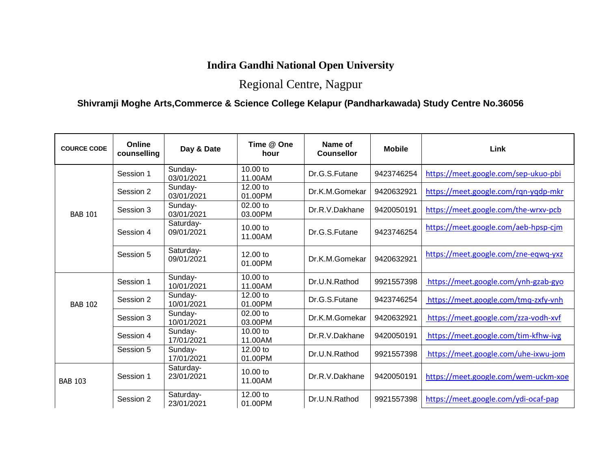## **Indira Gandhi National Open University**

## Regional Centre, Nagpur

## **Shivramji Moghe Arts,Commerce & Science College Kelapur (Pandharkawada) Study Centre No.36056**

| <b>COURCE CODE</b> | Online<br>counselling | Day & Date              | Time @ One<br>hour  | Name of<br><b>Counsellor</b> | <b>Mobile</b> | Link                                 |
|--------------------|-----------------------|-------------------------|---------------------|------------------------------|---------------|--------------------------------------|
|                    | Session 1             | Sunday-<br>03/01/2021   | 10.00 to<br>11.00AM | Dr.G.S.Futane                | 9423746254    | https://meet.google.com/sep-ukuo-pbi |
|                    | Session 2             | Sunday-<br>03/01/2021   | 12.00 to<br>01.00PM | Dr.K.M.Gomekar               | 9420632921    | https://meet.google.com/rqn-yqdp-mkr |
| <b>BAB 101</b>     | Session 3             | Sunday-<br>03/01/2021   | 02.00 to<br>03.00PM | Dr.R.V.Dakhane               | 9420050191    | https://meet.google.com/the-wrxv-pcb |
|                    | Session 4             | Saturday-<br>09/01/2021 | 10.00 to<br>11.00AM | Dr.G.S.Futane                | 9423746254    | https://meet.google.com/aeb-hpsp-cjm |
|                    | Session 5             | Saturday-<br>09/01/2021 | 12.00 to<br>01.00PM | Dr.K.M.Gomekar               | 9420632921    | https://meet.google.com/zne-eqwq-yxz |
| <b>BAB 102</b>     | Session 1             | Sunday-<br>10/01/2021   | 10.00 to<br>11.00AM | Dr.U.N.Rathod                | 9921557398    | https://meet.google.com/ynh-gzab-gyo |
|                    | Session 2             | Sunday-<br>10/01/2021   | 12.00 to<br>01.00PM | Dr.G.S.Futane                | 9423746254    | https://meet.google.com/tmq-zxfy-vnh |
|                    | Session 3             | Sunday-<br>10/01/2021   | 02.00 to<br>03.00PM | Dr.K.M.Gomekar               | 9420632921    | https://meet.google.com/zza-vodh-xvf |
|                    | Session 4             | Sunday-<br>17/01/2021   | 10.00 to<br>11.00AM | Dr.R.V.Dakhane               | 9420050191    | https://meet.google.com/tim-kfhw-ivg |
|                    | Session 5             | Sunday-<br>17/01/2021   | 12.00 to<br>01.00PM | Dr.U.N.Rathod                | 9921557398    | https://meet.google.com/uhe-ixwu-jom |
| <b>BAB 103</b>     | Session 1             | Saturday-<br>23/01/2021 | 10.00 to<br>11.00AM | Dr.R.V.Dakhane               | 9420050191    | https://meet.google.com/wem-uckm-xoe |
|                    | Session 2             | Saturday-<br>23/01/2021 | 12.00 to<br>01.00PM | Dr.U.N.Rathod                | 9921557398    | https://meet.google.com/ydi-ocaf-pap |